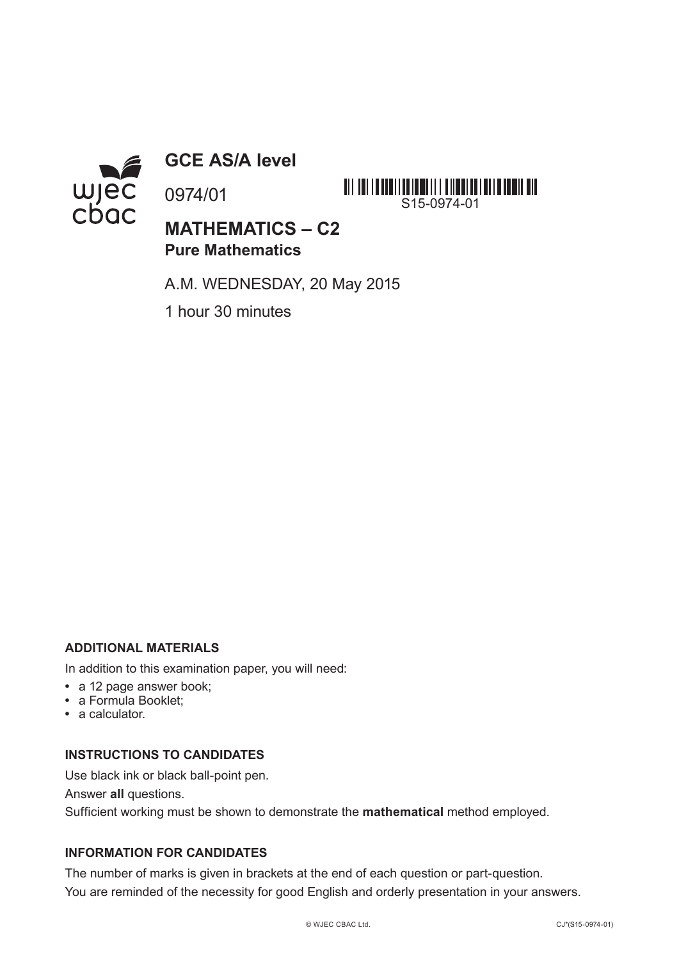

**GCE AS/A level**

0974/01



# **MATHEMATICS – C2 Pure Mathematics**

A.M. WEDNESDAY, 20 May 2015

1 hour 30 minutes

## **ADDITIONAL MATERIALS**

In addition to this examination paper, you will need:

- **•** a 12 page answer book;
- **•** a Formula Booklet;
- **•** a calculator.

#### **INSTRUCTIONS TO CANDIDATES**

Use black ink or black ball-point pen.

Answer **all** questions.

Sufficient working must be shown to demonstrate the **mathematical** method employed.

### **INFORMATION FOR CANDIDATES**

The number of marks is given in brackets at the end of each question or part-question. You are reminded of the necessity for good English and orderly presentation in your answers.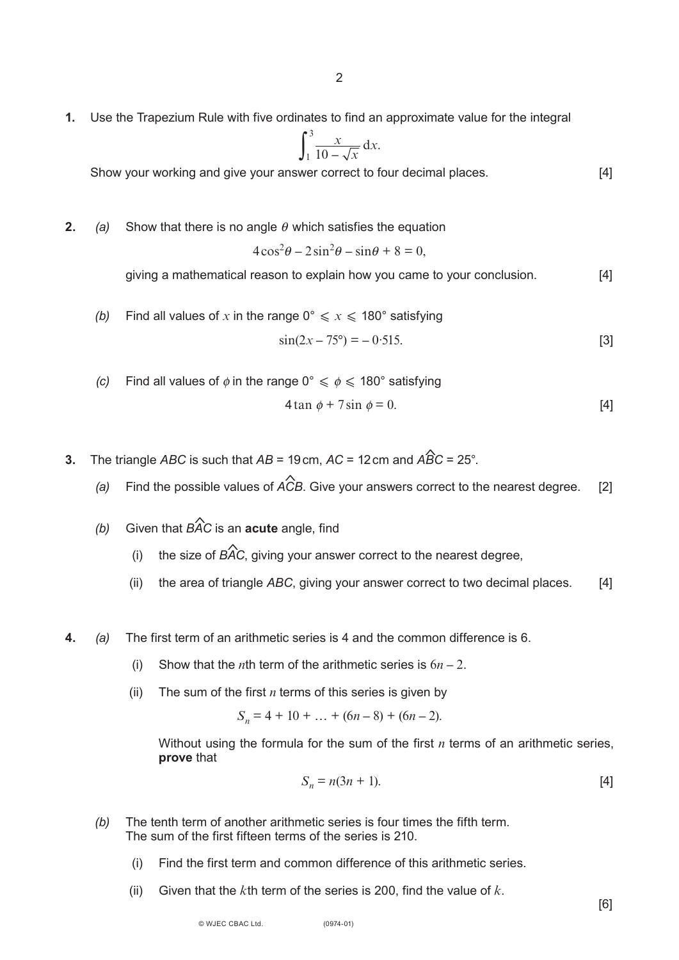**1.** Use the Trapezium Rule with five ordinates to find an approximate value for the integral

$$
\int_1^3 \frac{x}{10 - \sqrt{x}} dx.
$$

Show your working and give your answer correct to four decimal places. [4]

**2.** (a) Show that there is no angle  $\theta$  which satisfies the equation

$$
4\cos^2\theta - 2\sin^2\theta - \sin\theta + 8 = 0,
$$

giving a mathematical reason to explain how you came to your conclusion. [4]

(b) Find all values of x in the range 
$$
0^{\circ} \leq x \leq 180^{\circ}
$$
 satisfying  $\sin(2x - 75^{\circ}) = -0.515.$  [3]

- *(c)* Find all values of  $\phi$  in the range 0°  $\leq \phi \leq 180$ ° satisfying 4 tan  $\phi$  + 7 sin  $\phi$  = 0. [4]
- **3.** The triangle *ABC* is such that  $AB = 19$  cm,  $AC = 12$  cm and  $\widehat{ABC} = 25^\circ$ .
	- *(a)* Find the possible values of *ACB*. Give your answers correct to the nearest degree. [2]  $\hat{\mathbf{r}}$
	- *(b)* Given that *BAC* is an **acute** angle, find \$
		- (i) the size of *BAC*, giving your answer correct to the nearest degree,  $\hat{\lambda}$
		- (ii) the area of triangle *ABC*, giving your answer correct to two decimal places. [4]
- **4.** *(a)* The first term of an arithmetic series is 4 and the common difference is 6.
	- (i) Show that the *n*th term of the arithmetic series is  $6n 2$ .
	- (ii) The sum of the first  $n$  terms of this series is given by

 $S_n = 4 + 10 + \ldots + (6n - 8) + (6n - 2).$ 

Without using the formula for the sum of the first *n* terms of an arithmetic series, **prove** that

$$
S_n = n(3n + 1). \tag{4}
$$

- *(b)* The tenth term of another arithmetic series is four times the fifth term. The sum of the first fifteen terms of the series is 210.
	- (i) Find the first term and common difference of this arithmetic series.
	- (ii) Given that the *k*th term of the series is 200, find the value of *k*.

[6]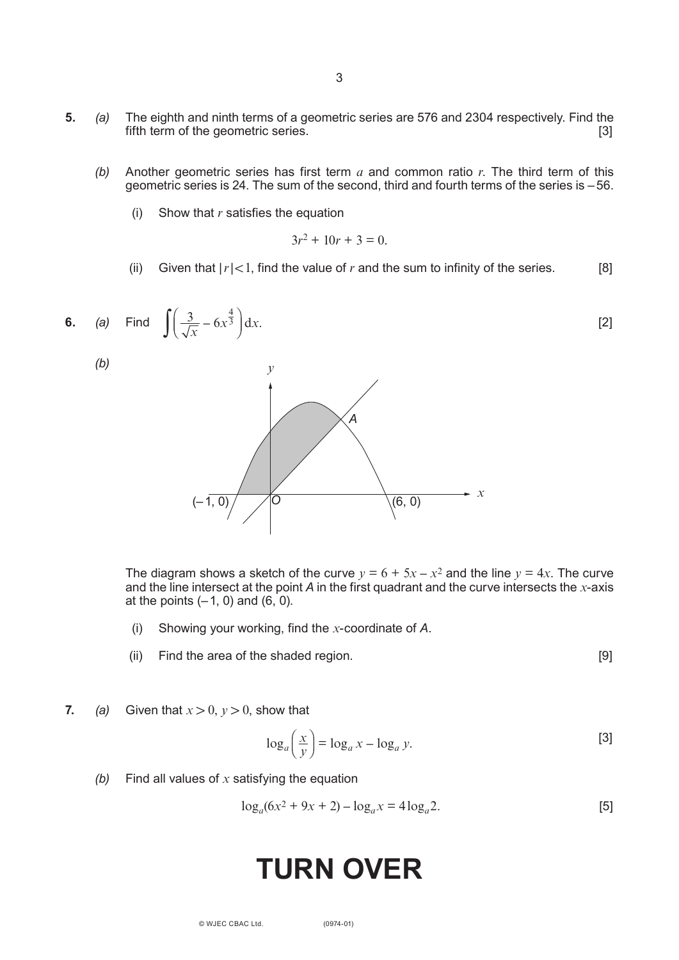- **5.** *(a)* The eighth and ninth terms of a geometric series are 576 and 2304 respectively. Find the fifth term of the geometric series.
	- *(b)* Another geometric series has first term *a* and common ratio *r*. The third term of this geometric series is 24. The sum of the second, third and fourth terms of the series is –56.
		- (i) Show that *r* satisfies the equation

$$
3r^2 + 10r + 3 = 0.
$$

(ii) Given that  $|r| < 1$ , find the value of *r* and the sum to infinity of the series.  $[8]$ 



The diagram shows a sketch of the curve  $y = 6 + 5x - x^2$  and the line  $y = 4x$ . The curve and the line intersect at the point *A* in the first quadrant and the curve intersects the *x*-axis at the points  $(-1, 0)$  and  $(6, 0)$ .

- (i) Showing your working, find the *x*-coordinate of *A*.
- (ii) Find the area of the shaded region. [9]

**7.** *(a)* Given that  $x > 0$ ,  $y > 0$ , show that

$$
\log_a\left(\frac{x}{y}\right) = \log_a x - \log_a y.
$$
 [3]

*(b)* Find all values of *x* satisfying the equation

$$
\log_a(6x^2 + 9x + 2) - \log_a x = 4\log_a 2.
$$
 [5]

# **TURN OVER**